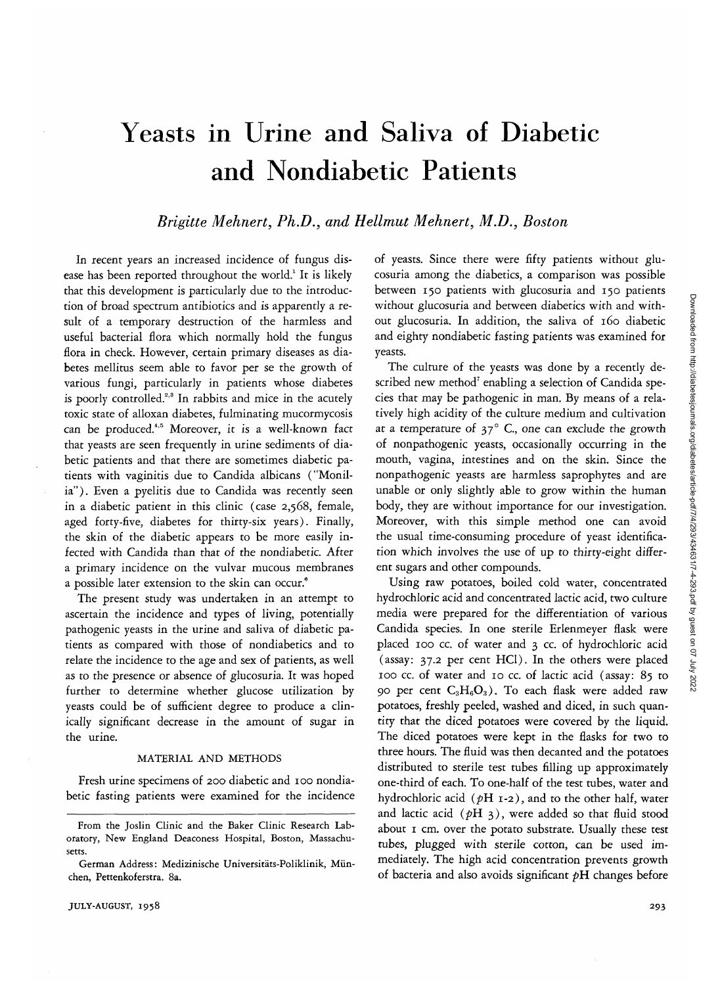# Yeasts in Urine and Saliva of Diabetic and Nondiabetic Patients

# *Brigitte Mehnert, Ph.D., and Hellmut Mehnert, M.D., Boston*

In recent years an increased incidence of fungus disease has been reported throughout the world.<sup>1</sup> It is likely that this development is particularly due to the introduction of broad spectrum antibiotics and is apparently a result of a temporary destruction of the harmless and useful bacterial flora which normally hold the fungus flora in check. However, certain primary diseases as diabetes mellitus seem able to favor per se the growth of various fungi, particularly in patients whose diabetes is poorly controlled.<sup>2,3</sup> In rabbits and mice in the acutely toxic state of alloxan diabetes, fulminating mucormycosis can be produced.<sup>4,5</sup> Moreover, it is a well-known fact that yeasts are seen frequently in urine sediments of diabetic patients and that there are sometimes diabetic patients with vaginitis due to Candida albicans ("Monilia"). Even a pyelitis due to Candida was recently seen in a diabetic patient in this clinic (case 2,568, female, aged forty-five, diabetes for thirty-six years). Finally, the skin of the diabetic appears to be more easily infected with Candida than that of the nondiabetic. After a primary incidence on the vulvar mucous membranes a possible later extension to the skin can occur.<sup>6</sup>

The present study was undertaken in an attempt to ascertain the incidence and types of living, potentially pathogenic yeasts in the urine and saliva of diabetic patients as compared with those of nondiabetics and to relate the incidence to the age and sex of patients, as well as to the presence or absence of glucosuria. It was hoped further to determine whether glucose utilization by yeasts could be of sufficient degree to produce a clinically significant decrease in the amount of sugar in the urine.

### MATERIAL AND METHODS

Fresh urine specimens of 200 diabetic and 100 nondiabetic fasting patients were examined for the incidence

of yeasts. Since there were fifty patients without glucosuria among the diabetics, a comparison was possible between 150 patients with glucosuria and 150 patients without glucosuria and between diabetics with and without glucosuria. In addition, the saliva of 160 diabetic and eighty nondiabetic fasting patients was examined for yeasts.

The culture of the yeasts was done by a recently described new method<sup>7</sup> enabling a selection of Candida species that may be pathogenic in man. By means of a relatively high acidity of the culture medium and cultivation at a temperature of  $37^\circ$  C., one can exclude the growth of nonpathogenic yeasts, occasionally occurring in the mouth, vagina, intestines and on the skin. Since the nonpathogenic yeasts are harmless saprophytes and are unable or only slightly able to grow within the human body, they are without importance for our investigation. Moreover, with this simple method one can avoid the usual time-consuming procedure of yeast identification which involves the use of up to thirty-eight different sugars and other compounds.

Using raw potatoes, boiled cold water, concentrated hydrochloric acid and concentrated lactic acid, two culture media were prepared for the differentiation of various Candida species. In one sterile Erlenmeyer flask were placed 100 cc. of water and 3 *cc.* of hydrochloric acid (assay: 37.2 per cent HC1). In the others were placed 100 cc. of water and 10 cc. of lactic acid (assay: 85 to 90 per cent  $C_3H_6O_3$ ). To each flask were added raw potatoes, freshly peeled, washed and diced, in such quantity that the diced potatoes were covered by the liquid. The diced potatoes were kept in the flasks for two to three hours. The fluid was then decanted and the potatoes distributed to sterile test tubes filling up approximately one-third of each. To one-half of the test tubes, water and hydrochloric acid *(pH* 1-2), and to the other half, water and lactic acid  $(pH_3)$ , were added so that fluid stood about 1 cm. over the potato substrate. Usually these test tubes, plugged with sterile cotton, can be used immediately. The high acid concentration prevents growth of bacteria and also avoids significant *pH* changes before

From the Joslin Clinic and the Baker Clinic Research Laboratory, New England Deaconess Hospital, Boston, Massachusetts.

German Address: Medizinische Universitats-Poliklinik, Miinchen, Pettenkoferstra. 8a.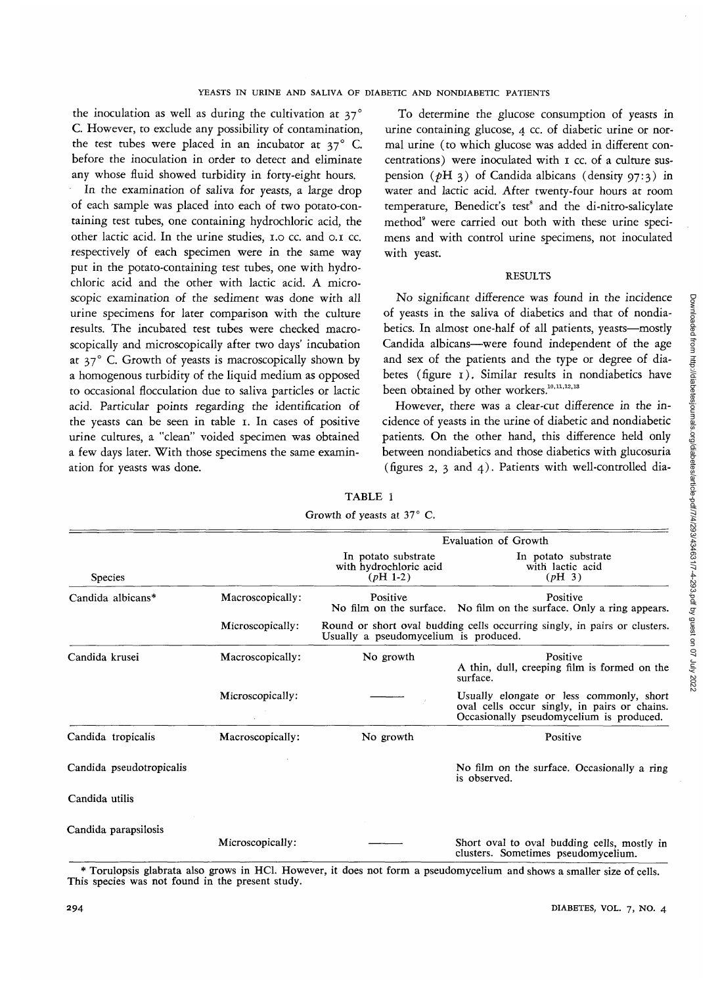the inoculation as well as during the cultivation at 37° C. However, to exclude any possibility of contamination, the test tubes were placed in an incubator at 37° C. before the inoculation in order to detect and eliminate any whose fluid showed turbidity in forty-eight hours.

In the examination of saliva for yeasts, a large drop of each sample was placed into each of two potato-containing test tubes, one containing hydrochloric acid, the other lactic acid. In the urine studies, 1.0 cc. and 0.1 cc. respectively of each specimen were in the same way put in the potato-containing test tubes, one with hydrochloric acid and the other with lactic acid. A microscopic examination of the sediment was done with all urine specimens for later comparison with the culture results. The incubated test tubes were checked macroscopically and microscopically after two days' incubation at  $37^\circ$  C. Growth of yeasts is macroscopically shown by a homogenous turbidity of the liquid medium as opposed to occasional flocculation due to saliva particles or lactic acid. Particular points regarding the identification of the yeasts can be seen in table 1. In cases of positive urine cultures, a "clean" voided specimen was obtained a few days later. With those specimens the same examination for yeasts was done.

To determine the glucose consumption of yeasts in urine containing glucose, 4 cc. of diabetic urine or normal urine (to which glucose was added in different concentrations) were inoculated with 1 cc. of a culture suspension *(pH* 3) of Candida albicans (density 97:3) in water and lactic acid. After twenty-four hours at room temperature, Benedict's test<sup>8</sup> and the di-nitro-salicylate method<sup>9</sup> were carried out both with these urine specimens and with control urine specimens, not inoculated with yeast.

# RESULTS

No significant difference was found in the incidence of yeasts in the saliva of diabetics and that of nondiabetics. In almost one-half of all patients, yeasts—mostly Candida albicans—were found independent of the age and sex of the patients and the type or degree of diabetes (figure 1), Similar results in nondiabetics have been obtained by other workers.<sup>10,11,12,13</sup>

However, there was a clear-cut difference in the incidence of yeasts in the urine of diabetic and nondiabetic patients. On the other hand, this difference held only between nondiabetics and those diabetics with glucosuria (figures 2, 3 and 4). Patients with well-controlled dia-

|                          |                  | Growth of yeasts at $37^{\circ}$ C.                                                                                |                                                                                                                                      |  |  |  |  |
|--------------------------|------------------|--------------------------------------------------------------------------------------------------------------------|--------------------------------------------------------------------------------------------------------------------------------------|--|--|--|--|
|                          |                  | Evaluation of Growth                                                                                               |                                                                                                                                      |  |  |  |  |
| <b>Species</b>           |                  | In potato substrate<br>with hydrochloric acid<br>$(pH 1-2)$                                                        | In potato substrate<br>with lactic acid<br>(pH <sub>3</sub> )                                                                        |  |  |  |  |
| Candida albicans*        | Macroscopically: | Positive                                                                                                           | Positive<br>No film on the surface. No film on the surface. Only a ring appears.                                                     |  |  |  |  |
|                          | Microscopically: | Round or short oval budding cells occurring singly, in pairs or clusters.<br>Usually a pseudomycelium is produced. |                                                                                                                                      |  |  |  |  |
| Candida krusei           | Macroscopically: | No growth                                                                                                          | Positive<br>A thin, dull, creeping film is formed on the<br>surface.                                                                 |  |  |  |  |
|                          | Microscopically: |                                                                                                                    | Usually elongate or less commonly, short<br>oval cells occur singly, in pairs or chains.<br>Occasionally pseudomycelium is produced. |  |  |  |  |
| Candida tropicalis       | Macroscopically: | No growth                                                                                                          | Positive                                                                                                                             |  |  |  |  |
| Candida pseudotropicalis |                  |                                                                                                                    | No film on the surface. Occasionally a ring<br>is observed.                                                                          |  |  |  |  |
| Candida utilis           |                  |                                                                                                                    |                                                                                                                                      |  |  |  |  |
| Candida parapsilosis     | Microscopically: |                                                                                                                    | Short oval to oval budding cells, mostly in<br>clusters. Sometimes pseudomycelium.                                                   |  |  |  |  |

TABLE 1

\* Torulopsis glabrata also grows in HC1. However, it does not form a pseudomycelium and shows a smaller size of cells. This species was not found in the present study.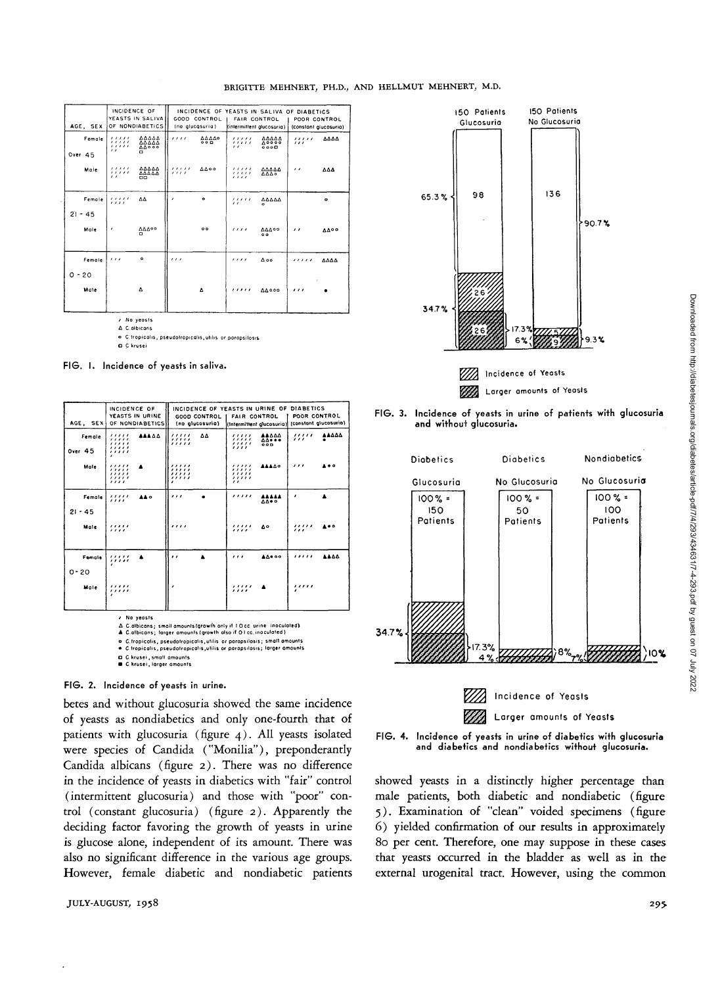| AGE, SEX                |                                                | INCIDENCE OF<br>YEASTS IN SALIVA<br>OF NONDIABETICS |                 | GOOD CONTROL<br>(no glucosuria) | <b>FAIR CONTROL</b><br>(intermittent glucosuria) |                                       | INCIDENCE OF YEASTS IN SALIVA OF DIABETICS<br>POOR CONTROL<br>(constant glucosuria) |             |
|-------------------------|------------------------------------------------|-----------------------------------------------------|-----------------|---------------------------------|--------------------------------------------------|---------------------------------------|-------------------------------------------------------------------------------------|-------------|
| Female<br>Over 45       | , , , , ,<br>,,,,,<br>, , , , ,<br>$^{\prime}$ | 44444<br>ΔΔΔΔΛ<br><b>AA000</b><br>α                 | 1111            | 00000<br>00D                    | ,,,,,<br>11111<br>$\epsilon$                     | <b>AAAAA</b><br><b>A0000</b><br>0.000 | ,,,,,<br>$\cdots$                                                                   | ΔΔΔΔ        |
| Maie                    | ,,,,,<br>11111<br>$\epsilon$                   | ΔΔΔΔΔ<br>44444<br><b>DO</b>                         | 1.1.1.1<br>1111 | <b>AA00</b>                     | , , , , ,<br>11111<br>, , , ,                    | 44444<br>6444                         | $\epsilon$                                                                          | ΔΔΔ         |
| Female                  | 1.1.1.1<br>1111                                | ΔΔ                                                  | ,               | $\bullet$                       | 11111<br>$\epsilon$                              | 44444<br>$\ddot{\phantom{0}}$         |                                                                                     | $\bullet$   |
| $21 - 45$<br>Male       | $\lambda$                                      | ΔΔΔ00<br>o                                          |                 | $^{\circ}$                      | 1111                                             | 44400<br>$^{\circ}$                   | $^{\prime}$                                                                         | <b>4400</b> |
| Female                  | $\overline{111}$                               | $\bullet$                                           | 111             |                                 | 1111                                             | $\Delta$ oo.                          | ,,,,,                                                                               | ΔΔΔΔ        |
| $\circ$ -<br>20<br>Male |                                                | ۵                                                   |                 | 7                               | .                                                | <b>AA000</b>                          | 111                                                                                 |             |

/ No yeasts  $\Delta$  C. albicons

o C.tropicalis, pseudotropicalis, utilis or parapsilosis

**Q** C krusei

FIG. I. Incidence of yeasts in saliva.

| AGE, SEX                                                                            | INCIDENCE OF<br>YEASTS IN URINE<br>OF NONDIABETICS          | (no glucosuria)                  | INCIDENCE OF YEASTS IN URINE OF DIABETICS<br>GOOD CONTROL I FAIR CONTROL<br>(Intermittent glucosuria) (constant glucosuria) | POOR CONTROL          |  |
|-------------------------------------------------------------------------------------|-------------------------------------------------------------|----------------------------------|-----------------------------------------------------------------------------------------------------------------------------|-----------------------|--|
| Female<br>Over 45                                                                   | ,,,,,<br><b>AAA A A</b><br>,,,,,<br>11111<br>11111<br>,,,,, | ΔΔ<br>,,,,,<br>,,,,,             | <b>AAAAA</b><br>,,,,,<br>,,,,,<br><b>AA+++</b><br>,,,,,<br>00D<br>,,,,                                                      | 44444<br>11111<br>,,, |  |
| Male                                                                                | ,,,,,<br>▲<br>, , , , ,<br>11111<br>,,,,,<br>, , , ,        | ,,,,,<br>,,,,,<br>,,,,,<br>,,,,, | ,,,,,<br><b>AAAA0</b><br>,,,,,<br>,,,,,<br>,,,,,<br>$^{\prime}$                                                             | ,,,<br>.              |  |
| Female<br>$21 - 45$                                                                 | ,,,,,<br><b>AA o</b><br>$\cdots$                            | .                                | ,,,,,<br><b>AAAAA</b><br><b>AA+0</b>                                                                                        | ,                     |  |
| Maie                                                                                | ,,,,,<br>, , , ,                                            | ,,,,                             | ,,,,,<br>Δ٥<br>,,,,                                                                                                         | ,,,,,<br>ه ه<br>.     |  |
| Female<br>$0 - 20$                                                                  | ,,,,,<br>А<br>,,,,,                                         | $\cdot$                          | <b>AA</b> ***<br>                                                                                                           | ,,,,,<br><b>AAAA</b>  |  |
| Male                                                                                | ,,,,,<br>.                                                  | ٠                                | ,,,,,<br>$^{\prime\prime\prime}$                                                                                            | ,,,,,                 |  |
| / No yeasts<br>Δ C.albicans: small amounts (growth only if 1.0 cc urine inoculated) |                                                             |                                  |                                                                                                                             |                       |  |

A C.albicans; larger amounts (growth also if O I cc. inaculated)

FIG. 2. Incidence of yeasts in urine.

betes and without glucosuria showed the same incidence of yeasts as nondiabetics and only one-fourth that of patients with glucosuria (figure 4). All yeasts isolated were species of Candida ("Monilia"), preponderantly Candida albicans (figure 2). There was no difference in the incidence of yeasts in diabetics with "fair" control (intermittent glucosuria) and those with "poor" control (constant glucosuria) (figure 2). Apparently the deciding factor favoring the growth of yeasts in urine is glucose alone, independent of its amount. There was also no significant difference in the various age groups. However, female diabetic and nondiabetic patients







Larger amounts of Yeasts



showed yeasts in a distinctly higher percentage than male patients, both diabetic and nondiabetic (figure 5). Examination of "clean" voided specimens (figure 6) yielded confirmation of our results in approximately 80 per cent. Therefore, one may suppose in these cases that yeasts occurred in the bladder as well as in the external urogenital tract. However, using the common

o C.tropicalis, pseudotropicalis, utilis or parapsilosis; small amounts<br>• C.tropicalis, pseudotropicalis, utilis or parapsilosis; larger amounts

<sup>□</sup> C.krusei , small amounts<br>■ C.krusei , larger amounts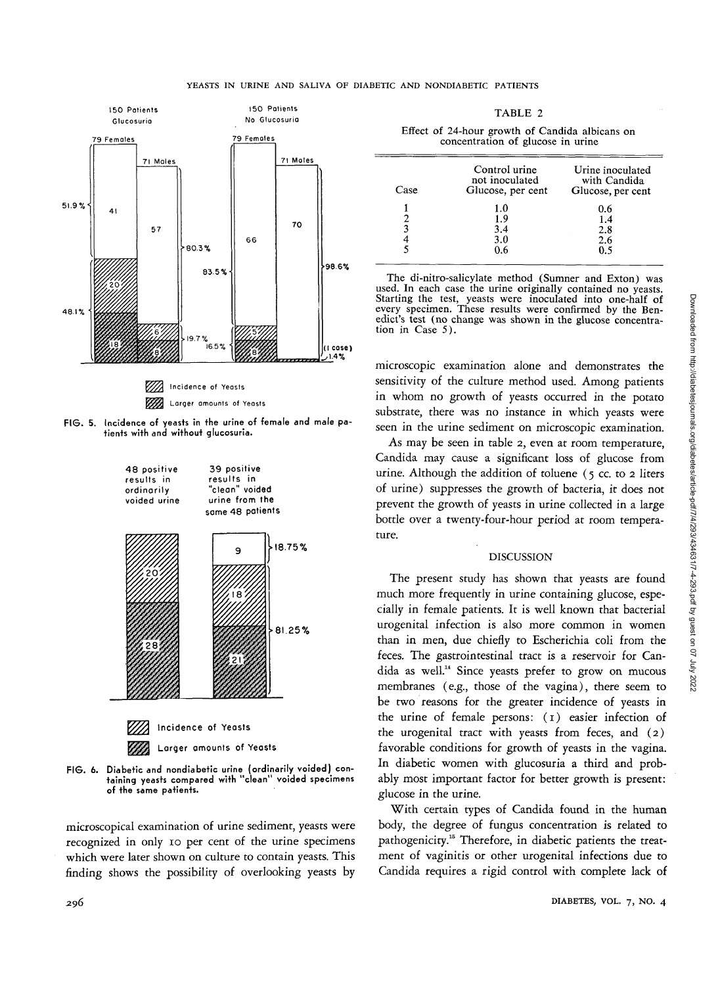#### YEASTS IN URINE AND SALIVA OF DIABETIC AND NONDIABETIC PATIENTS



FIG. 5. Incidence of yeasts in the urine of female and male patients with and without glucosuria.



FIG. 6. Diabetic and nondiabetic urine (ordinarily voided) containing yeasts compared with "clean" voided specimens of the same patients.

microscopical examination of urine sediment, yeasts were recognized in only io per cent of the urine specimens which were later shown on culture to contain yeasts. This finding shows the possibility of overlooking yeasts by

TABLE 2

|  |                                   |  |  |  | Effect of 24-hour growth of Candida albicans on |  |
|--|-----------------------------------|--|--|--|-------------------------------------------------|--|
|  | concentration of glucose in urine |  |  |  |                                                 |  |

| Case | Control urine<br>not inoculated<br>Glucose, per cent | Urine inoculated<br>with Candida<br>Glucose, per cent |
|------|------------------------------------------------------|-------------------------------------------------------|
|      | 1.0                                                  | 0.6                                                   |
|      | 1.9                                                  | 1.4                                                   |
| 3    | 3.4                                                  | 2.8                                                   |
|      | 3.0                                                  | 2.6                                                   |
|      | 0.6                                                  | በ ና                                                   |

The di-nitro-salicylate method (Sumner and Exton) was used. In each case the urine originally contained no yeasts. Starting the test, yeasts were inoculated into one-half of every specimen. These results were confirmed by the Ben-<br>edict's test (no change was shown in the glucose concentra-<br>tion in Case 5).

microscopic examination alone and demonstrates the sensitivity of the culture method used. Among patients in whom no growth of yeasts occurred in the potato substrate, there was no instance in which yeasts were seen in the urine sediment on microscopic examination.

As may be seen in table 2, even at room temperature, Candida may cause a significant loss of glucose from urine. Although the addition of toluene  $(5 \text{ cc. to 2 liters})$ of urine) suppresses the growth of bacteria, it does not prevent the growth of yeasts in urine collected in a large bottle over a twenty-four-hour period at room temperature.

# DISCUSSION

The present study has shown that yeasts are found much more frequently in urine containing glucose, especially in female patients. It is well known that bacterial urogenital infection is also more common in women than in men, due chiefly to Escherichia coli from the feces. The gastrointestinal tract *is* a reservoir for Candida as well." Since yeasts prefer to grow on mucous membranes (e.g., those of the vagina), there seem to be two reasons for the greater incidence of yeasts in the urine of female persons: (1) easier infection of the urogenital tract with yeasts from feces, and (2) favorable conditions for growth of yeasts in the vagina. In diabetic women with glucosuria a third and probably most important factor for better growth is present: glucose in the urine.

With certain types of Candida found in the human body, the degree of fungus concentration is related to pathogenicity.<sup>15</sup> Therefore, in diabetic patients the treatment of vaginitis or other urogenital infections due to Candida requires a rigid control with complete lack of